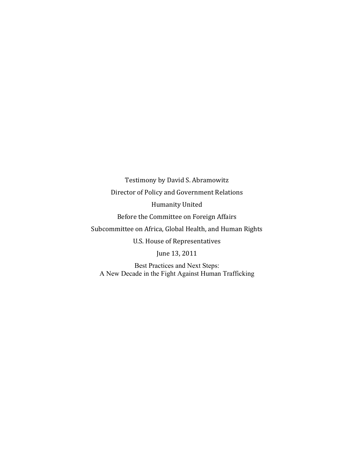Testimony by David S. Abramowitz Director of Policy and Government Relations Humanity United Before the Committee on Foreign Affairs Subcommittee on Africa, Global Health, and Human Rights U.S. House of Representatives June 13, 2011 Best Practices and Next Steps:

A New Decade in the Fight Against Human Trafficking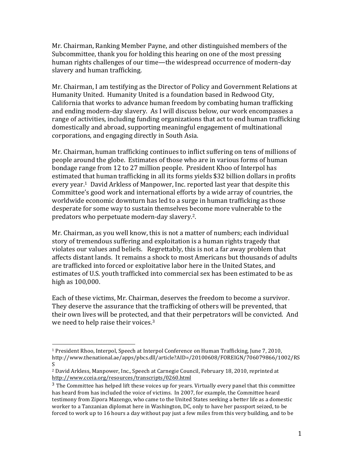Mr. Chairman, Ranking Member Payne, and other distinguished members of the Subcommittee, thank you for holding this hearing on one of the most pressing human rights challenges of our time—the widespread occurrence of modern-day slavery and human trafficking.

Mr. Chairman, I am testifying as the Director of Policy and Government Relations at Humanity United. Humanity United is a foundation based in Redwood City, California that works to advance human freedom by combating human trafficking and ending modern-day slavery. As I will discuss below, our work encompasses a range of activities, including funding organizations that act to end human trafficking domestically and abroad, supporting meaningful engagement of multinational corporations, and engaging directly in South Asia.

Mr. Chairman, human trafficking continues to inflict suffering on tens of millions of people around the globe. Estimates of those who are in various forms of human bondage range from 12 to 27 million people. President Khoo of Interpol has estimated that human trafficking in all its forms yields \$32 billion dollars in profits every year.<sup>1</sup> David Arkless of Manpower, Inc. reported last year that despite this Committee's good work and international efforts by a wide array of countries, the worldwide economic downturn has led to a surge in human trafficking as those desperate for some way to sustain themselves become more vulnerable to the predators who perpetuate modern-day slavery.<sup>2</sup>.

Mr. Chairman, as you well know, this is not a matter of numbers; each individual story of tremendous suffering and exploitation is a human rights tragedy that violates our values and beliefs. Regrettably, this is not a far away problem that affects distant lands. It remains a shock to most Americans but thousands of adults are trafficked into forced or exploitative labor here in the United States, and estimates of U.S. youth trafficked into commercial sex has been estimated to be as high as 100,000.

Each of these victims, Mr. Chairman, deserves the freedom to become a survivor. They deserve the assurance that the trafficking of others will be prevented, that their own lives will be protected, and that their perpetrators will be convicted. And we need to help raise their voices.<sup>3</sup>

!!!!!!!!!!!!!!!!!!!!!!!!!!!!!!!!!!!!!!!!!!!!!!!!!!!!!!!

<sup>&</sup>lt;sup>1</sup> President Rhoo, Interpol, Speech at Interpol Conference on Human Trafficking, June 7, 2010, http://www.thenational.ae/apps/pbcs.dll/article?AID=/20100608/FOREIGN/706079866/1002/RS S

<sup>&</sup>lt;sup>2</sup> David Arkless, Manpower, Inc., Speech at Carnegie Council, February 18, 2010, reprinted at http://www.cceia.org/resources/transcripts/0260.html

 $3$  The Committee has helped lift these voices up for years. Virtually every panel that this committee has heard from has included the voice of victims. In 2007, for example, the Committee heard testimony from Zipora Mazengo, who came to the United States seeking a better life as a domestic worker to a Tanzanian diplomat here in Washington, DC, only to have her passport seized, to be forced to work up to 16 hours a day without pay just a few miles from this very building, and to be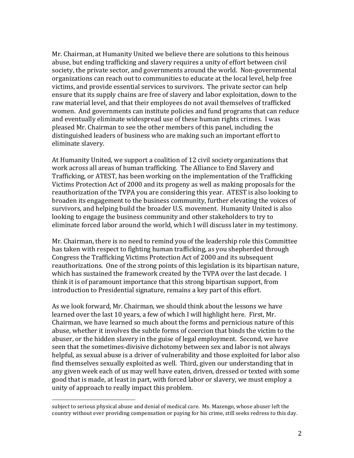Mr. Chairman, at Humanity United we believe there are solutions to this heinous abuse, but ending trafficking and slavery requires a unity of effort between civil society, the private sector, and governments around the world. Non-governmental organizations can reach out to communities to educate at the local level, help free victims, and provide essential services to survivors. The private sector can help ensure that its supply chains are free of slavery and labor exploitation, down to the raw material level, and that their employees do not avail themselves of trafficked women. And governments can institute policies and fund programs that can reduce and eventually eliminate widespread use of these human rights crimes. I was pleased Mr. Chairman to see the other members of this panel, including the distinguished leaders of business who are making such an important effort to eliminate slavery.

At Humanity United, we support a coalition of 12 civil society organizations that work across all areas of human trafficking. The Alliance to End Slavery and Trafficking, or ATEST, has been working on the implementation of the Trafficking Victims Protection Act of 2000 and its progeny as well as making proposals for the reauthorization of the TVPA you are considering this year. ATEST is also looking to broaden its engagement to the business community, further elevating the voices of survivors, and helping build the broader U.S. movement. Humanity United is also looking to engage the business community and other stakeholders to try to eliminate forced labor around the world, which I will discuss later in my testimony.

Mr. Chairman, there is no need to remind you of the leadership role this Committee has taken with respect to fighting human trafficking, as you shepherded through Congress the Trafficking Victims Protection Act of 2000 and its subsequent reauthorizations. One of the strong points of this legislation is its bipartisan nature, which has sustained the framework created by the TVPA over the last decade. I think it is of paramount importance that this strong bipartisan support, from introduction to Presidential signature, remains a key part of this effort.

As we look forward, Mr. Chairman, we should think about the lessons we have learned over the last 10 years, a few of which I will highlight here. First, Mr. Chairman, we have learned so much about the forms and pernicious nature of this abuse, whether it involves the subtle forms of coercion that binds the victim to the abuser, or the hidden slavery in the guise of legal employment. Second, we have seen that the sometimes-divisive dichotomy between sex and labor is not always helpful, as sexual abuse is a driver of vulnerability and those exploited for labor also find themselves sexually exploited as well. Third, given our understanding that in any given week each of us may well have eaten, driven, dressed or texted with some good that is made, at least in part, with forced labor or slavery, we must employ a unity of approach to really impact this problem.

!!!!!!!!!!!!!!!!!!!!!!!!!!!!!!!!!!!!!!!!!!!!!!!!!!!!!!!

subject to serious physical abuse and denial of medical care. Ms. Mazengo, whose abuser left the country without ever providing compensation or paying for his crime, still seeks redress to this day.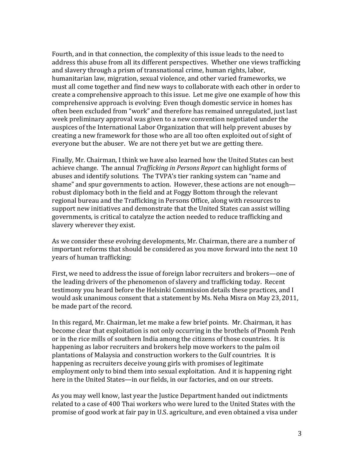Fourth, and in that connection, the complexity of this issue leads to the need to address this abuse from all its different perspectives. Whether one views trafficking and slavery through a prism of transnational crime, human rights, labor, humanitarian law, migration, sexual violence, and other varied frameworks, we must all come together and find new ways to collaborate with each other in order to create a comprehensive approach to this issue. Let me give one example of how this comprehensive approach is evolving: Even though domestic service in homes has often been excluded from "work" and therefore has remained unregulated, just last week preliminary approval was given to a new convention negotiated under the auspices of the International Labor Organization that will help prevent abuses by creating a new framework for those who are all too often exploited out of sight of everyone but the abuser. We are not there yet but we are getting there.

Finally, Mr. Chairman, I think we have also learned how the United States can best achieve change. The annual *Trafficking in Persons Report* can highlight forms of abuses and identify solutions. The TVPA's tier ranking system can "name and shame" and spur governments to action. However, these actions are not enough robust diplomacy both in the field and at Foggy Bottom through the relevant regional bureau and the Trafficking in Persons Office, along with resources to support new initiatives and demonstrate that the United States can assist willing governments, is critical to catalyze the action needed to reduce trafficking and slavery wherever they exist.

As we consider these evolving developments, Mr. Chairman, there are a number of important reforms that should be considered as you move forward into the next 10 years of human trafficking:

First, we need to address the issue of foreign labor recruiters and brokers—one of the leading drivers of the phenomenon of slavery and trafficking today. Recent testimony you heard before the Helsinki Commission details these practices, and I would ask unanimous consent that a statement by Ms. Neha Misra on May 23, 2011, be made part of the record.

In this regard, Mr. Chairman, let me make a few brief points. Mr. Chairman, it has become clear that exploitation is not only occurring in the brothels of Pnomh Penh or in the rice mills of southern India among the citizens of those countries. It is happening as labor recruiters and brokers help move workers to the palm oil plantations of Malaysia and construction workers to the Gulf countries. It is happening as recruiters deceive young girls with promises of legitimate employment only to bind them into sexual exploitation. And it is happening right here in the United States—in our fields, in our factories, and on our streets.

As you may well know, last year the Justice Department handed out indictments related to a case of 400 Thai workers who were lured to the United States with the promise of good work at fair pay in U.S. agriculture, and even obtained a visa under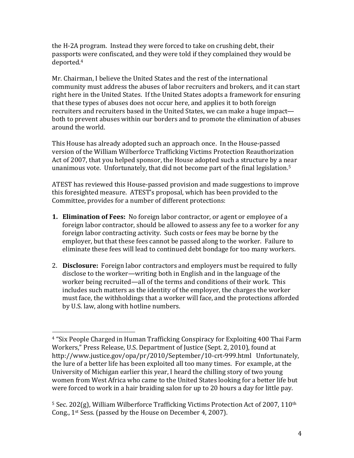the H-2A program. Instead they were forced to take on crushing debt, their passports were confiscated, and they were told if they complained they would be deported.<sup>4</sup>

Mr. Chairman, I believe the United States and the rest of the international community must address the abuses of labor recruiters and brokers, and it can start right here in the United States. If the United States adopts a framework for ensuring that these types of abuses does not occur here, and applies it to both foreign recruiters and recruiters based in the United States, we can make a huge impact both to prevent abuses within our borders and to promote the elimination of abuses around the world.

This House has already adopted such an approach once. In the House-passed version of the William Wilberforce Trafficking Victims Protection Reauthorization Act of 2007, that you helped sponsor, the House adopted such a structure by a near unanimous vote. Unfortunately, that did not become part of the final legislation.<sup>5</sup>

ATEST has reviewed this House-passed provision and made suggestions to improve this foresighted measure. ATEST's proposal, which has been provided to the Committee, provides for a number of different protections:

- **1. Elimination of Fees:** No foreign labor contractor, or agent or employee of a foreign labor contractor, should be allowed to assess any fee to a worker for any foreign labor contracting activity. Such costs or fees may be borne by the employer, but that these fees cannot be passed along to the worker. Failure to eliminate these fees will lead to continued debt bondage for too many workers.
- 2. **Disclosure:** Foreign labor contractors and employers must be required to fully disclose to the worker—writing both in English and in the language of the worker being recruited—all of the terms and conditions of their work. This includes such matters as the identity of the employer, the charges the worker must face, the withholdings that a worker will face, and the protections afforded by U.S. law, along with hotline numbers.

!!!!!!!!!!!!!!!!!!!!!!!!!!!!!!!!!!!!!!!!!!!!!!!!!!!!!!!

<sup>&</sup>lt;sup>4</sup> "Six People Charged in Human Trafficking Conspiracy for Exploiting 400 Thai Farm Workers," Press Release, U.S. Department of Justice (Sept. 2, 2010), found at http://www.justice.gov/opa/pr/2010/September/10-crt-999.html Unfortunately, the lure of a better life has been exploited all too many times. For example, at the University of Michigan earlier this year, I heard the chilling story of two young women from West Africa who came to the United States looking for a better life but were forced to work in a hair braiding salon for up to 20 hours a day for little pay.

 $5$  Sec. 202(g), William Wilberforce Trafficking Victims Protection Act of 2007, 110<sup>th</sup> Cong., 1<sup>st</sup> Sess. (passed by the House on December 4, 2007).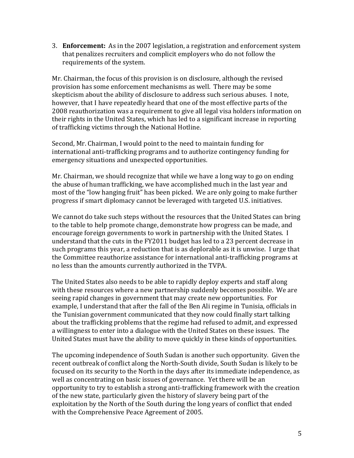3. **Enforcement:** As in the 2007 legislation, a registration and enforcement system that penalizes recruiters and complicit employers who do not follow the requirements of the system.

Mr. Chairman, the focus of this provision is on disclosure, although the revised provision has some enforcement mechanisms as well. There may be some skepticism about the ability of disclosure to address such serious abuses. I note, however, that I have repeatedly heard that one of the most effective parts of the 2008 reauthorization was a requirement to give all legal visa holders information on their rights in the United States, which has led to a significant increase in reporting of trafficking victims through the National Hotline.

Second, Mr. Chairman, I would point to the need to maintain funding for international anti-trafficking programs and to authorize contingency funding for emergency situations and unexpected opportunities.

Mr. Chairman, we should recognize that while we have a long way to go on ending the abuse of human trafficking, we have accomplished much in the last year and most of the "low hanging fruit" has been picked. We are only going to make further progress if smart diplomacy cannot be leveraged with targeted U.S. initiatives.

We cannot do take such steps without the resources that the United States can bring to the table to help promote change, demonstrate how progress can be made, and encourage foreign governments to work in partnership with the United States. I understand that the cuts in the FY2011 budget has led to a 23 percent decrease in such programs this year, a reduction that is as deplorable as it is unwise. I urge that the Committee reauthorize assistance for international anti-trafficking programs at no less than the amounts currently authorized in the TVPA.

The United States also needs to be able to rapidly deploy experts and staff along with these resources where a new partnership suddenly becomes possible. We are seeing rapid changes in government that may create new opportunities. For example, I understand that after the fall of the Ben Ali regime in Tunisia, officials in the Tunisian government communicated that they now could finally start talking about the trafficking problems that the regime had refused to admit, and expressed a willingness to enter into a dialogue with the United States on these issues. The United States must have the ability to move quickly in these kinds of opportunities.

The upcoming independence of South Sudan is another such opportunity. Given the recent outbreak of conflict along the North-South divide, South Sudan is likely to be focused on its security to the North in the days after its immediate independence, as well as concentrating on basic issues of governance. Yet there will be an opportunity to try to establish a strong anti-trafficking framework with the creation of the new state, particularly given the history of slavery being part of the exploitation by the North of the South during the long years of conflict that ended with the Comprehensive Peace Agreement of 2005.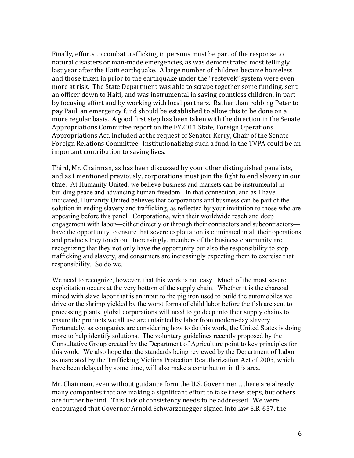Finally, efforts to combat trafficking in persons must be part of the response to natural disasters or man-made emergencies, as was demonstrated most tellingly last year after the Haiti earthquake. A large number of children became homeless and those taken in prior to the earthquake under the "restevek" system were even more at risk. The State Department was able to scrape together some funding, sent an officer down to Haiti, and was instrumental in saving countless children, in part by focusing effort and by working with local partners. Rather than robbing Peter to pay Paul, an emergency fund should be established to allow this to be done on a more regular basis. A good first step has been taken with the direction in the Senate Appropriations Committee report on the FY2011 State, Foreign Operations Appropriations Act, included at the request of Senator Kerry, Chair of the Senate Foreign Relations Committee. Institutionalizing such a fund in the TVPA could be an important contribution to saving lives.

Third, Mr. Chairman, as has been discussed by your other distinguished panelists, and as I mentioned previously, corporations must join the fight to end slavery in our time. At Humanity United, we believe business and markets can be instrumental in building peace and advancing human freedom. In that connection, and as I have indicated, Humanity United believes that corporations and business can be part of the solution in ending slavery and trafficking, as reflected by your invitation to those who are appearing before this panel. Corporations, with their worldwide reach and deep engagement with labor—either directly or through their contractors and subcontractors have the opportunity to ensure that severe exploitation is eliminated in all their operations and products they touch on. Increasingly, members of the business community are recognizing that they not only have the opportunity but also the responsibility to stop trafficking and slavery, and consumers are increasingly expecting them to exercise that responsibility. So do we.

We need to recognize, however, that this work is not easy. Much of the most severe exploitation occurs at the very bottom of the supply chain. Whether it is the charcoal mined with slave labor that is an input to the pig iron used to build the automobiles we drive or the shrimp yielded by the worst forms of child labor before the fish are sent to processing plants, global corporations will need to go deep into their supply chains to ensure the products we all use are untainted by labor from modern-day slavery. Fortunately, as companies are considering how to do this work, the United States is doing more to help identify solutions. The voluntary guidelines recently proposed by the Consultative Group created by the Department of Agriculture point to key principles for this work. We also hope that the standards being reviewed by the Department of Labor as mandated by the Trafficking Victims Protection Reauthorization Act of 2005, which have been delayed by some time, will also make a contribution in this area.

Mr. Chairman, even without guidance form the U.S. Government, there are already many companies that are making a significant effort to take these steps, but others are further behind. This lack of consistency needs to be addressed. We were encouraged that Governor Arnold Schwarzenegger signed into law S.B. 657, the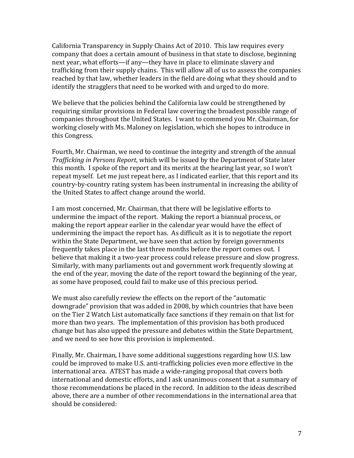California Transparency in Supply Chains Act of 2010. This law requires every company that does a certain amount of business in that state to disclose, beginning next year, what efforts—if any—they have in place to eliminate slavery and trafficking from their supply chains. This will allow all of us to assess the companies reached by that law, whether leaders in the field are doing what they should and to identify the stragglers that need to be worked with and urged to do more.

We believe that the policies behind the California law could be strengthened by requiring similar provisions in Federal law covering the broadest possible range of companies throughout the United States. I want to commend you Mr. Chairman, for working closely with Ms. Maloney on legislation, which she hopes to introduce in this Congress.

Fourth, Mr. Chairman, we need to continue the integrity and strength of the annual *Trafficking in Persons Report*, which will be issued by the Department of State later this month. I spoke of the report and its merits at the hearing last year, so I won't repeat myself. Let me just repeat here, as I indicated earlier, that this report and its country-by-country rating system has been instrumental in increasing the ability of the United States to affect change around the world.

I am most concerned, Mr. Chairman, that there will be legislative efforts to undermine the impact of the report. Making the report a biannual process, or making the report appear earlier in the calendar year would have the effect of undermining the impact the report has. As difficult as it is to negotiate the report within the State Department, we have seen that action by foreign governments frequently takes place in the last three months before the report comes out. I believe that making it a two-year process could release pressure and slow progress. Similarly, with many parliaments out and government work frequently slowing at the end of the year, moving the date of the report toward the beginning of the year, as some have proposed, could fail to make use of this precious period.

We must also carefully review the effects on the report of the "automatic" downgrade" provision that was added in 2008, by which countries that have been on the Tier 2 Watch List automatically face sanctions if they remain on that list for more than two years. The implementation of this provision has both produced change but has also upped the pressure and debates within the State Department, and we need to see how this provision is implemented.

Finally, Mr. Chairman, I have some additional suggestions regarding how U.S. law could be improved to make U.S. anti-trafficking policies even more effective in the international area. ATEST has made a wide-ranging proposal that covers both international and domestic efforts, and I ask unanimous consent that a summary of those recommendations be placed in the record. In addition to the ideas described above, there are a number of other recommendations in the international area that should be considered: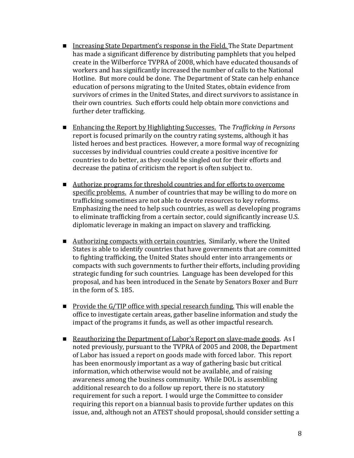- **I.** Increasing State Department's response in the Field. The State Department has made a significant difference by distributing pamphlets that you helped create in the Wilberforce TVPRA of 2008, which have educated thousands of workers and has significantly increased the number of calls to the National Hotline. But more could be done. The Department of State can help enhance education of persons migrating to the United States, obtain evidence from survivors of crimes in the United States, and direct survivors to assistance in their own countries. Such efforts could help obtain more convictions and further deter trafficking.
- Enhancing the Report by Highlighting Successes. The *Trafficking in Persons* report is focused primarily on the country rating systems, although it has listed heroes and best practices. However, a more formal way of recognizing successes by individual countries could create a positive incentive for countries to do better, as they could be singled out for their efforts and decrease the patina of criticism the report is often subject to.
- Authorize programs for threshold countries and for efforts to overcome specific problems. A number of countries that may be willing to do more on trafficking sometimes are not able to devote resources to key reforms. Emphasizing the need to help such countries, as well as developing programs to eliminate trafficking from a certain sector, could significantly increase U.S. diplomatic leverage in making an impact on slavery and trafficking.
- Authorizing compacts with certain countries. Similarly, where the United States is able to identify countries that have governments that are committed to fighting trafficking, the United States should enter into arrangements or compacts with such governments to further their efforts, including providing strategic funding for such countries. Language has been developed for this proposal, and has been introduced in the Senate by Senators Boxer and Burr in the form of S. 185.
- **Provide the G/TIP office with special research funding. This will enable the** office to investigate certain areas, gather baseline information and study the impact of the programs it funds, as well as other impactful research.
- **E** Reauthorizing the Department of Labor's Report on slave-made goods. As I noted previously, pursuant to the TVPRA of 2005 and 2008, the Department of Labor has issued a report on goods made with forced labor. This report has been enormously important as a way of gathering basic but critical information, which otherwise would not be available, and of raising awareness among the business community. While DOL is assembling additional research to do a follow up report, there is no statutory requirement for such a report. I would urge the Committee to consider requiring this report on a biannual basis to provide further updates on this issue, and, although not an ATEST should proposal, should consider setting a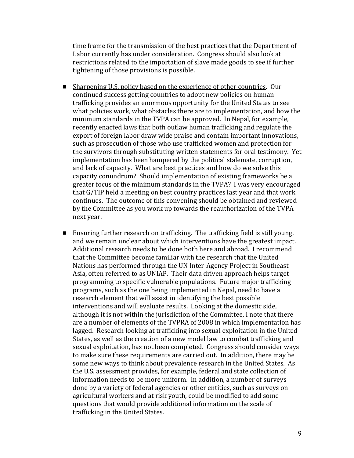time frame for the transmission of the best practices that the Department of Labor currently has under consideration. Congress should also look at restrictions related to the importation of slave made goods to see if further tightening of those provisions is possible.

- **E** Sharpening U.S. policy based on the experience of other countries. Our continued success getting countries to adopt new policies on human trafficking provides an enormous opportunity for the United States to see what policies work, what obstacles there are to implementation, and how the minimum standards in the TVPA can be approved. In Nepal, for example, recently enacted laws that both outlaw human trafficking and regulate the export of foreign labor draw wide praise and contain important innovations, such as prosecution of those who use trafficked women and protection for the survivors through substituting written statements for oral testimony. Yet implementation has been hampered by the political stalemate, corruption, and lack of capacity. What are best practices and how do we solve this capacity conundrum? Should implementation of existing frameworks be a greater focus of the minimum standards in the TVPA? I was very encouraged that G/TIP held a meeting on best country practices last year and that work continues. The outcome of this convening should be obtained and reviewed by the Committee as you work up towards the reauthorization of the TVPA next year.
- **E** Ensuring further research on trafficking. The trafficking field is still young, and we remain unclear about which interventions have the greatest impact. Additional research needs to be done both here and abroad. I recommend that the Committee become familiar with the research that the United Nations has performed through the UN Inter-Agency Project in Southeast Asia, often referred to as UNIAP. Their data driven approach helps target programming to specific vulnerable populations. Future major trafficking programs, such as the one being implemented in Nepal, need to have a research element that will assist in identifying the best possible interventions and will evaluate results. Looking at the domestic side, although it is not within the jurisdiction of the Committee, I note that there are a number of elements of the TVPRA of 2008 in which implementation has lagged. Research looking at trafficking into sexual exploitation in the United States, as well as the creation of a new model law to combat trafficking and sexual exploitation, has not been completed. Congress should consider ways to make sure these requirements are carried out. In addition, there may be some new ways to think about prevalence research in the United States. As the U.S. assessment provides, for example, federal and state collection of information needs to be more uniform. In addition, a number of surveys done by a variety of federal agencies or other entities, such as surveys on agricultural workers and at risk youth, could be modified to add some questions that would provide additional information on the scale of trafficking in the United States.